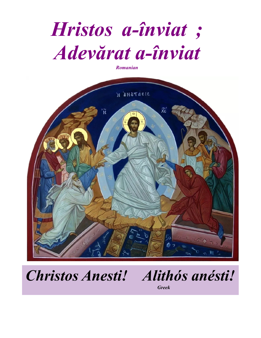# *Hristos a-înviat ; Adevărat a-înviat*

*Romanian*



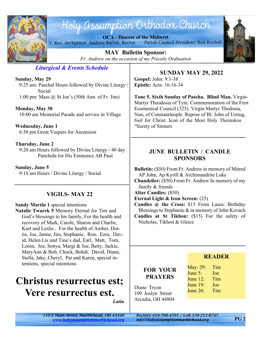

## Holy assumption Orthodox Church

**OCA - Diocese of the Midwest** V. Rev. Archpriest Andrew Bartek, Rector Parish Council President: Ron Royhab



**MAY Bulletin Sponsor:** *Fr. Andrew on the occasion of my Priestly Ordination*

#### *Liturgical & Events Schedule*

**Sunday, May 29**

 9:25 am: Paschal Hours followed by Divine Liturgy / Social

1:00 pm: Mass @ St Joe's (50th Ann. of Fr. Jim)

#### **Monday, May 30**

10:00 am Memorial Parade and service in Village

**Wednesday, June 1** 6:30 pm Great Vespers for Ascension

#### **Thursday, June 2**

 9:20 am Hours followed by Divine Liturgy / 40 day Panchida for His Eminence AB Paul

**Sunday, June 5** 9:10 am Hours / Divine Liturgy / Social

#### **VIGILS- MAY 22**

#### **Sandy Martin 1** special intentions

**Natalie Twarek 5** Memory Eternal for Tim and God's blessings to his family, For the health and recovery of Mark, Carole, Sharon and Charlie, Kurt and Leslie , For the health of Amber, Dottie, Joe, Jamie, Jim, Stephanie, Ron, Ezra, David, Helen Lis and Tina's dad, Earl, Matt, Tom, Loren, Joe, Sonya, Margi & Joe, Betty, Jackie, MaryAnn & Bob, Chuck, Bohdi, David, Diane, Stella, Jake, Cheryl, Pat and Karen, special intentions, special intentions

### **Christus resurrectus est; Vere resurrectus est.**

*Latin*

#### **SUNDAY MAY 29, 2022**

**Gospel:** John: 9:1-38 **Epistle:** Acts: 16:16-34

**Tone 5. Sixth Sunday of Pascha. Blind Man.** Virgin-Martyr Theodosia of Tyre. Commemoration of the First Ecumenical Council (325). Virgin Martyr Thedosia, Nun, of Constantinople. Repose of Bl. John of Ustiug, fool for Christ. Icon of the Most Holy Theotokos "Surety of Sinners

#### **JUNE BULLETIN / CANDLE SPONSORS**

**Bulletin:** (\$50) From Fr. Andrew in memory of Mitred AP John, Ap Kyrill & Archimandrite Luke

**Chandelier:** (\$50) From Fr. Andrew In memory of my family & friends

**Altar Candles:** (\$50)

**Eternal Light & Icon Screen:** (25)

**Candles @ the Cross:** \$15 From Laura: Birthday Blessings to Stephanie & in memory of John Kovach

**Candles at St Tikhon:** (\$15) For the safety of Nicholas, Tikhon & Gleice

#### **FOR YOUR PRAYERS**

Diane Tryon 109 Joslyn Street Arcadia, OH 44804

| May: 29: | Tim |
|----------|-----|
| June 5:  | Joe |
| June 12: | Tim |
| June 19: | Joe |
| June 26: | Tim |

**READER**

*<www.holyassumptionmarblehead.org> info@holyassumptionmarblehead.org*

**PG 2**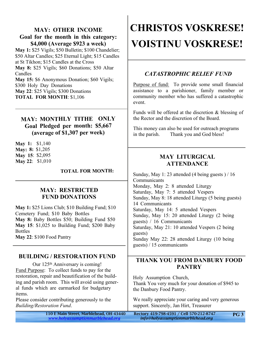#### **MAY: OTHER INCOME Goal for the month in this category: \$4,000 (Average \$923 a week)**

**May 1:** \$25 Vigils; \$50 Bulletin; \$100 Chandelier; \$50 Altar Candles; \$25 Eternal Light; \$15 Candles at St Tikhon; \$15 Candles at the Cross **May 8:** \$25 Vigils; \$60 Donations; \$50 Altar Candles **May 15:** \$6 Anonymous Donation; \$60 Vigils;

\$300 Holy Day Donations

**May 22**: \$25 Vigils; \$300 Donations

**TOTAL FOR MONTH**: \$1,106

#### **MAY: MONTHLY TITHE ONLY Goal Pledged per month: \$5,667 (average of \$1,307 per week)**

**May 1:** \$1,140 **May: 8:** \$1,205 **May 15**: \$2,095 **May 22**: \$1,010

**TOTAL FOR MONTH:**

#### **MAY: RESTRICTED FUND DONATIONS**

**May 1:** \$25 Lions Club; \$10 Building Fund; \$10 Cemetery Fund; \$10 Baby Bottles **May 8:** Baby Bottles \$50; Building Fund \$50 **May 15**: \$1,025 to Building Fund; \$200 Baby Bottles **May 22**: \$100 Food Pantry

#### **BUILDING / RESTORATION FUND**

Our 125<sup>th</sup> Anniversary is coming! Fund Purpose: To collect funds to pay for the restoration, repair and beautification of the building and parish room. This will avoid using general funds which are earmarked for budgetary items.

Please consider contributing generously to the *Building/Restoration Fund*.

## **CHRISTOS VOSKRESE! VOISTINU VOSKRESE!**

#### *CATASTROPHIC RELIEF FUND*

Purpose of fund: To provide some small financial assistance to a parishioner, family member or community member who has suffered a catastrophic event.

Funds will be offered at the discretion & blessing of the Rector and the discretion of the Board.

This money can also be used for outreach programs in the parish. Thank you and God bless!

#### **MAY LITURGICAL ATTENDANCE**

Sunday, May 1: 23 attended (4 being guests ) / 16 **Communicants** Monday, May 2: 8 attended Liturgy Saturday, May 7: 5 attended Vespers Sunday, May 8: 18 attended Liturgy (5 being guests) 14 Communicants Saturday, May 14: 5 attended Vespers Sunday, May 15: 20 attended Liturgy (2 being guests) / 16 Communicants Saturday, May 21: 10 attended Vespers (2 being guests) Sunday May 22: 28 attended Liturgy (10 being guests) / 15 communicants

#### **THANK YOU FROM DANBURY FOOD PANTRY**

Holy Assumption Church, Thank You very much for your donation of \$945 to the Danbury Food Pantry.

We really appreciate your caring and very generous support. Sincerely, Jan Hirt, Treasurer

110 E Main Street, Marblehead, OH 43440 Rectory 419-798-4591 / Cell 570-212-8747 *<www.holyassumptionmarblehead.org> info@holyassumptionmarblehead.org*

**PG 3**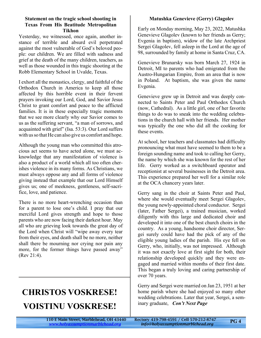#### **Statement on the tragic school shooting in Texas From His Beatitude Metropolitan Tikhon**

Yesterday, we witnessed, once again, another instance of terrible and absurd evil perpetrated against the most vulnerable of God's beloved people: our children. We are filled with sadness and grief at the death of the many children, teachers, as well as those wounded in this tragic shooting at the Robb Elementary School in Uvalde, Texas.

I exhort all the monastics, clergy, and faithful of the Orthodox Church in America to keep all those affected by this horrible event in their fervent prayers invoking our Lord, God, and Savior Jesus Christ to grant comfort and peace to the afflicted families. It is in these especially tragic moments that we see more clearly why our Savior comes to us as the suffering servant, "a man of sorrows, and acquainted with grief" (Isa. 53:3). Our Lord suffers with us so that He can also give us comfort and hope.

Although the young man who committed this atrocious act seems to have acted alone, we must acknowledge that any manifestation of violence is also a product of a world which all too often cherishes violence in its many forms. As Christians, we must always oppose any and all forms of violence giving instead that example that our Lord Himself gives us; one of meekness, gentleness, self-sacrifice, love, and patience.

There is no more heart-wrenching occasion than for a parent to lose one's child. I pray that our merciful Lord gives strength and hope to those parents who are now facing their darkest hour. May all who are grieving look towards the great day of the Lord when Christ will "wipe away every tear from their eyes, and death shall be no more, neither shall there be mourning nor crying nor pain any more, for the former things have passed away" (Rev 21:4).

### **CHRISTOS VOSKRESE! VOISTINU VOSKRESE!**

#### **Matushka Genevieve (Gerry) Glagolev**

Early on Monday morning, May 23, 2022, Matushka Genevieve Glagolev (known to her friends as Gerry; Evgenia in baptism), widow of the late Archpriest Sergei Glagolev, fell asleep in the Lord at the age of 98, surrounded by family at home in Santa Cruz, CA.

Genevieve Brunarsky was born March 27, 1924 in Detroit, MI to parents who had emigrated from the Austro-Hungarian Empire, from an area that is now in Poland. At baptism, she was given the name Evgenia.

Genevieve grew up in Detroit and was deeply connected to Saints Peter and Paul Orthodox Church (now, Cathedral). As a little girl, one of her favorite things to do was to sneak into the wedding celebrations in the church hall with her friends. Her mother was typically the one who did all the cooking for these events.

At school, her teachers and classmates had difficulty pronouncing what must have seemed to them to be a foreign sounding name and took to calling her Gerry, the name by which she was known for the rest of her life. Gerry worked as a switchboard operator and receptionist at several businesses in the Detroit area. This experience prepared her well for a similar role at the OCA chancery years later.

Gerry sang in the choir at Saints Peter and Paul, where she would eventually meet Sergei Glagolev, the young newly-appointed choral conductor. Sergei (later, Father Sergei), a trained musician, worked diligently with this large and dedicated choir and developed it into one of the best church choirs in the country. As a young, handsome choir director, Sergei surely could have had the pick of any of the eligible young ladies of the parish. His eye fell on Gerry, who, initially, was not impressed. Although it was not exactly love at first sight for both, their relationship developed quickly and they were engaged and married within months of their first date. This began a truly loving and caring partnership of over 70 years.

Gerry and Sergei were married on Jan 23, 1951 at her home parish where she had enjoyed so many other wedding celebrations. Later that year, Sergei, a seminary graduate, *Con't Next Page*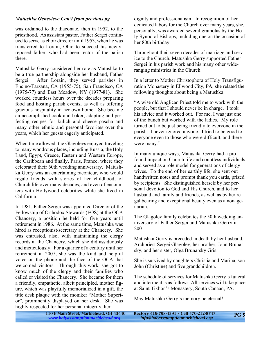#### *Matushka Genevieve Con't from previous pg*

was ordained to the diaconate, then in 1952, to the priesthood. As assistant pastor, Father Sergei continued to serve as choir director until 1953, when he was transferred to Lorain, Ohio to succeed his newlyreposed father, who had been rector of the parish there.

Matushka Gerry considered her role as Matushka to be a true partnership alongside her husband, Father Sergei. After Lorain, they served parishes in Encino/Tarzana, CA (1955-75), San Francisco, CA (1975-77) and East Meadow, NY (1977-81). She worked countless hours over the decades preparing food and hosting parish events, as well as offering gracious hospitality in her own home. She became an accomplished cook and baker, adapting and perfecting recipes for kulich and cheese pascha and many other ethnic and personal favorites over the years, which her guests eagerly anticipated.

When time allowed, the Glagolevs enjoyed traveling to many wondrous places, including Russia, the Holy Land, Egypt, Greece, Eastern and Western Europe, the Caribbean and finally, Paris, France, where they celebrated their 60th wedding anniversary. Matushka Gerry was an entertaining raconteur, who would regale friends with stories of her childhood, of Church life over many decades, and even of encounters with Hollywood celebrities while she lived in California.

In 1981, Father Sergei was appointed Director of the Fellowship of Orthodox Stewards (FOS) at the OCA Chancery, a position he held for five years until retirement in 1986. At the same time, Matushka was hired as receptionist/secretary at the Chancery. She was entrusted, also, with maintaining the clergy records at the Chancery, which she did assiduously and meticulously. For a quarter of a century until her retirement in 2007, she was the kind and helpful voice on the phone and the face of the OCA that welcomed visitors. Through this work, she got to know much of the clergy and their families who called or visited the Chancery. She became for them a friendly, empathetic, albeit principled, mother figure, which was playfully memorialized in a gift, the title desk plaque with the moniker "Mother Superior", prominently displayed on her desk. She was highly respected for her personal integrity, her

dignity and professionalism. In recognition of her dedicated labors for the Church over many years, she, personally, was awarded several gramotas by the Holy Synod of Bishops, including one on the occasion of her 80th birthday.

Throughout their seven decades of marriage and service to the Church, Matushka Gerry supported Father Sergei in his parish work and his many other wideranging ministries in the Church.

In a letter to Mother Christophora of Holy Transfiguration Monastery in Ellwood City, PA, she related the following thoughts about being a Matushka:

"A wise old Anglican Priest told me to work with the people, but that I should never be in charge. I took his advice and it worked out. For me, I was just one of the bunch but worked with the ladies. My role turned out to be just being friendly to everyone in the parish. I never ignored anyone. I tried to be good to everyone even to those who were difficult, and there were many."

In many unique ways, Matushka Gerry had a profound impact on Church life and countless individuals and served as a role model for generations of clergy wives. To the end of her earthly life, she sent out handwritten notes and prompt thank you cards, prized by recipients. She distinguished herself by her personal devotion to God and His Church, and to her husband and family and friends, as well as by her regal bearing and exceptional beauty even as a nonagenarian.

The Glagolev family celebrates the 50th wedding anniversary of Father Sergei and Matushka Gerry in 2001.

Matushka Gerry is preceded in death by her husband, Archpriest Sergei Glagolev, her brother, John Brunarsky, and her sister, Olga Brunarsky Gris.

She is survived by daughters Christia and Marina, son John (Christine) and five grandchildren.

The schedule of services for Matushka Gerry's funeral and interment is as follows. All services will take place at Saint Tikhon's Monastery, South Canaan, PA.

May Matushka Gerry's memory be eternal!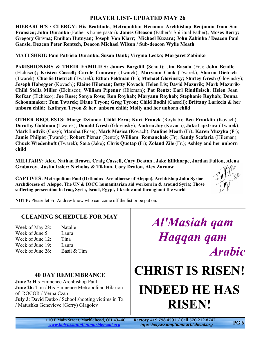#### **PRAYER LIST- UPDATED MAY 26**

**HIERARCH'S / CLERGY: His Beatitude, Metropolitan Herman; Archbishop Benjamin from San Fransico; John Duranko** (Father's home pastor)**; James Gleason** (Father's Spiritual Father)**; Moses Berry; Gregory Grivna; Emilian Hutnyan; Joseph Von Klarr; Michael Kuzara; John Zabinko / Deacon Paul Gansle, Deacon Peter Rentsch, Deacon Michael Wilson / Sub-deacon Wylie Meath**

**MATUSHKII: Pani Patricia Duranko; Susan Dank; Virgina Lecko; Margaret Zabinko**

**PARISHIONERS & THEIR FAMILIES: James Bargdill (**Schutt); J**im Basala** (Fr.); **John Beadle** (Elchisco)**; Kristen Cassell; Carole Conaway** (Twarek); **Maryann Cook** (Twarek); **Sharon Dietrich** (Twarek); **Charlie Dietrich** (Twarek); **Ethan Feldman** (Fr); **Michael Glovinsky; Shirley Gresh (**Glovinsky); **Joseph Habegger** (Kovach)**; Elaine Hileman; Betty Kovach**; **Helen Lis**; **David Mazurik; Mark Mazurik-Child Stella Miller** (Elchisco); **William Pipenur** (Hileman)**; Pat Rentz; Earl Rindfleisch**; **Helen Jean Rofkar (**Elchisco); **Joe Rose; Sonya Rose; Ron Royhab; Maryann Royhab; Stephanie Royhab; Donna Schoonmaker; Tom Twarek; Diane Tryon; Greg Tyron; Child Bodhi (**Cassell); **Brittany Lariccia & her unborn child; Kathryn Tryon & her unborn child; Molly and her unborn child**

**OTHER REQUESTS: Marge Dziama; Child Ezra; Kurt Franck** (Royhab); **Ben Franklin** (Kovach); **Dorothy Goldman (**Twarek); **Donald Gresh** (Glovinsky); **Andrea Joy** (Kovach); **Jake Lipstraw** (Twarek); **Mark Ludvik** (Guzy); **Marsha** (Rose); **Mark Masica (**Kovach); **Pauline Meath** (Fr)**; Karen Muzyka (F**r); **Jamie Philpot** (Twarek); **Robert Piznar** (Rentz); **William Romanchak** (Fr); **Sandy Scafaria** (Hileman); **Chuck Wiedenhoft (**Twarek); **Sara** (Jake)**; Chris Quotap (**Fr); **Zoland Zile** (Fr.); **Ashley and her unborn child**

**MILITARY: Alex, Nathan Brown, Craig Cassell, Cory Deaton , Jake Ellithorpe, Jordan Fulton, Alena Grabavoy, Justin Issler; Nicholas & Tikhon, Cory Deaton, Alex Zarnow**

**CAPTIVES: Metropolitan Paul (Orthodox Archdiocese of Aleppo), Archbishop John Syriac Archdiocese of Aleppo, The UN & IOCC humanitarian aid workers in & around Syria; Those suffering persecution in Iraq, Syria, Israel, Egypt, Ukraine and throughout the world**



**NOTE:** Please let Fr. Andrew know who can come off the list or be put on.

#### **CLEANING SCHEDULE FOR MAY**

| Natalie     |
|-------------|
| Laura       |
| Tina        |
| Laura       |
| Basil & Tim |
|             |

#### **40 DAY REMEMBRANCE**

**June 2:** His Eminence Archbishop Paul **June 26:** Tim / His Eminence Metropolitan Hilarion of ROCOR / Verna Czap **July 3**: David Dutko / School shooting victims in Tx / Matushka Genevieve (Gerry) Glagolev

*Al'Masiah qam Haqqan qam Arabic*

## **CHRIST IS RISEN! INDEED HE HAS RISEN!**

*<www.holyassumptionmarblehead.org> info@holyassumptionmarblehead.org*

110 E Main Street, Marblehead, OH 43440 Rectory 419-798-4591 / Cell 570-212-8747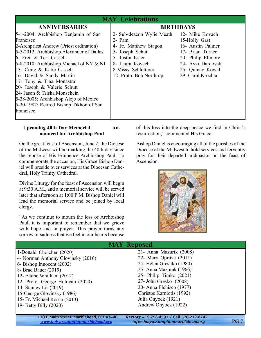| <b>MAY Celebrations</b>                                                                                                                                                                                                                                                                                                                                                                                                                                               |                                                                                                                                                                             |                                                                                                                                                                |  |  |
|-----------------------------------------------------------------------------------------------------------------------------------------------------------------------------------------------------------------------------------------------------------------------------------------------------------------------------------------------------------------------------------------------------------------------------------------------------------------------|-----------------------------------------------------------------------------------------------------------------------------------------------------------------------------|----------------------------------------------------------------------------------------------------------------------------------------------------------------|--|--|
| <b>ANNIVERSARIES</b>                                                                                                                                                                                                                                                                                                                                                                                                                                                  | <b>BIRTHDAYS</b>                                                                                                                                                            |                                                                                                                                                                |  |  |
| 5-1-2004: Archbishop Benjamin of San<br>Francisco<br>2-Archpriest Andrew (Priest ordination)<br>5-5-2012: Archbishop Alexander of Dallas<br>6- Fred & Teri Cassell<br>$5-8-2010$ : Archbishop Michael of NY & NJ<br>13- Craig & Katie Cassell<br>16- David & Sandy Martin<br>17- Tony & Tina Monastra<br>20- Joseph & Valerie Schutt<br>24- Jason & Trisha Monschein<br>5-28-2005: Archbishop Alejo of Mexico<br>5-30-1987: Retired Bishop Tikhon of San<br>Francisco | 2- Sub-deacon Wylie Meath<br>$2-$ Pam<br>4- Fr. Matthew Stagon<br>5- Joseph Schutt<br>5- Justin Issler<br>8- Laura Kovach<br>8-Missy Schlotterer<br>12- Proto. Bob Northrup | 12- Mike Kovach<br>15-Holly Gast<br>16- Austin Palmer<br>17- Brian Turner<br>20- Philip Ellmore<br>24- Avzi Dardovski<br>25- Quincy Kowal<br>29- Carol Krochta |  |  |

#### **Upcoming 40th Day Memorial Announced for Archbishop Paul**

On the great feast of Ascension, June 2, the Diocese of the Midwest will be marking the 40th day since the repose of His Eminence Archbishop Paul. To commemorate the occasion, His Grace Bishop Daniel will preside over services at the Diocesan Cathedral, Holy Trinity Cathedral.

Divine Liturgy for the feast of Ascension will begin at 9:30 A.M., and a memorial service will be served later that afternoon at 1:00 P.M. Bishop Daniel will lead the memorial service and be joined by local clergy.

"As we continue to mourn the loss of Archbishop Paul, it is important to remember that we grieve with hope and in prayer. This prayer turns any sorrow or sadness that we feel in our hearts because

of this loss into the deep peace we find in Christ's resurrection," commented His Grace.

Bishop Daniel is encouraging all of the parishes of the Diocese of the Midwest to hold services and fervently pray for their departed archpastor on the feast of Ascension.



| <b>MAY Reposed</b>                 |                           |  |  |  |
|------------------------------------|---------------------------|--|--|--|
| 1-Donald Cholcher (2020)           | 21- Anna Mazurik (2008)   |  |  |  |
| 4- Norman Anthony Glovinsky (2016) | 22- Mary Opritza (2011)   |  |  |  |
| $6 - Bishop$ Innocent $(2002)$     | 24- Helen Greshko (1980)  |  |  |  |
| $8 -$ Brad Bauer $(2019)$          | 25 - Anna Mazurak (1966)  |  |  |  |
| $ 12 -$ Elaine Whitham $(2012)$    | 25- Philip Timko $(2021)$ |  |  |  |
| 12- Proto. George Hutnyan (2020)   | 27- John Gresko- (2008)   |  |  |  |
| 14- Stanley Lis $(2019)$           | 30- Anna Elchisco (1977)  |  |  |  |
| 15-George Glovinsky (1986)         | Christos Karniotis (1992) |  |  |  |
| 15 - Fr. Michael Rosco (2013)      | Julia Onyock (1921)       |  |  |  |
| 19- Betty Billy $(2020)$           | Andrew Onyock (1922)      |  |  |  |
|                                    |                           |  |  |  |

110 E Main Street, Marblehead, OH 43440 Rectory 419-798-4591 / Cell 570-212-8747<br>www.holyassumptionmarblehead.org info@holyassumptionmarblehead.org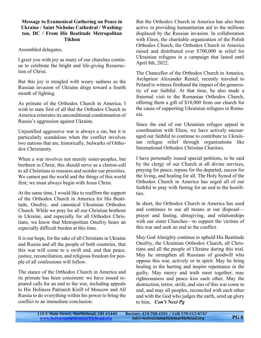#### **Message to Ecumenical Gathering on Peace in Ukraine / Saint Nicholas Cathedral / Washington, DC / From His Beatitude Metropolitan Tikhon**

Assembled delegates,

I greet you with joy as many of our churches continue to celebrate the bright and life-giving Resurrection of Christ.

But this joy is mingled with weary sadness as the Russian invasion of Ukraine drags toward a fourth month of fighting.

As primate of the Orthodox Church in America, I wish to state first of all that the Orthodox Church in America reiterates its unconditional condemnation of Russia's aggression against Ukraine.

Unjustified aggressive war is always a sin, but it is particularly scandalous when the conflict involves two nations that are, historically, bulwarks of Orthodox Christianity.

When a war involves not merely sister-peoples, but brethren in Christ, this should serve as a clarion-call to all Christians to reassess and reorder our priorities. We cannot put the world and the things of this world first; we must always begin with Jesus Christ.

At the same time, I would like to reaffirm the support of the Orthodox Church in America for His Beatitude, Onufriy, and canonical Ukrainian Orthodox Church. While we pray for all our Christian brethren in Ukraine, and especially for all Orthodox Christians, we know that Metropolitan Onufriy bears an especially difficult burden at this time.

It is our hope, for the sake of all Christians in Ukraine and Russia and all the people of both countries, that this war will come to a swift end, and that peace, justice, reconciliation, and religious freedom for people of all confessions will follow.

The stance of the Orthodox Church in America and its primate has been consistent: we have issued repeated calls for an end to the war, including appeals to His Holiness Patriarch Kirill of Moscow and All Russia to do everything within his power to bring the conflict to an immediate conclusion.

But the Orthodox Church in America has also been active in providing humanitarian aid to the millions displaced by the Russian invasion. In collaboration with Eleos, the charitable organization of the Polish Orthodox Church, the Orthodox Church in America raised and distributed over \$700,000 in relief for Ukrainian refugees in a campaign that lasted until April 8th, 2022.

The Chancellor of the Orthodox Church in America, Archpriest Alexander Rentel, recently traveled to Poland to witness firsthand the impact of the generosity of our faithful. At that time, he also made a fraternal visit to the Romanian Orthodox Church, offering them a gift of \$10,000 from our church for the cause of supporting Ukrainian refugees in Romania.

Since the end of our Ukrainian refugee appeal in coordination with Eleos, we have actively encouraged our faithful to continue to contribute to Ukrainian refugee relief through organizations like International Orthodox Christian Charities.

I have personally issued special petitions, to be said by the clergy of our Church at all divine services, praying for peace, repose for the departed, succor for the living, and healing for all. The Holy Synod of the Orthodox Church in America has urged all of our faithful to pray with fasting for an end to the hostilities.

In short, the Orthodox Church in America has used and continues to use all means at our disposal prayer and fasting, almsgiving, and relationships with our sister Churches—to support the victims of this war and seek an end to the conflict.

May God Almighty continue to uphold His Beatitude Onufriy, the Ukrainian Orthodox Church, all Christians and all the people of Ukraine during this trial. May he strengthen all Russians of goodwill who oppose this war, actively or in spirit. May he bring healing to the hurting and inspire repentance in the guilty. May mercy and truth meet together; may righteousness and peace kiss each other. May the destruction, terror, strife, and sins of this war come to end, and may all peoples, reconciled with each other and with the God who judges the earth, send up glory to him, *Con't Next Pg*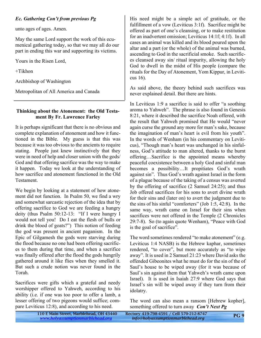#### *Ec. Gathering Con't from previous Pg*

unto ages of ages. Amen.

May the same Lord support the work of this ecumenical gathering today, so that we may all do our part in ending this war and supporting its victims.

Yours in the Risen Lord,

+Tikhon

Archbishop of Washington

Metropolitan of All America and Canada

#### **Thinking about the Atonement: the Old Testament By Fr. Lawrence Farley**

It is perhaps significant that there is no obvious and complete explanation of atonement and how it functioned in the Bible. My guess is that this was because it was too obvious to the ancients to require stating. People just knew instinctively that they were in need of help and closer union with the gods/ God and that offering sacrifice was the way to make it happen. Today we look at the understanding of how sacrifice and atonement functioned in the Old Testament.

We begin by looking at a statement of how atonement did not function. In Psalm 50, we find a wry and somewhat sarcastic rejection of the idea that by offering sacrifice to God we are feeding a hungry deity (thus Psalm 50:12-13: "If I were hungry I would not tell you! Do I eat the flesh of bulls or drink the blood of goats?") This notion of feeding the god was present in ancient paganism. In the Epic of Gilgamesh the gods were starving during the flood because no one had been offering sacrifices to them during that time, and when a sacrifice was finally offered after the flood the gods hungrily gathered around it like flies when they smelled it. But such a crude notion was never found in the Torah.

Sacrifices were gifts which a grateful and needy worshipper offered to Yahweh, according to his ability (i.e. if one was too poor to offer a lamb, a lesser offering of two pigeons would suffice; compare Leviticus 12:8), and according to his need.

His need might be a simple act of gratitude, or the fulfillment of a vow (Leviticus 3:1f). Sacrifice might be offered as part of one's cleansing, or to make restitution for an inadvertent omission; Leviticus 14:1f; 4:1f). In all cases an animal was killed and its blood poured upon the altar and a part (or the whole) of the animal was burned, ascending to God in the sacrificial smoke. Such sacrifices cleansed away sin/ ritual impurity, allowing the holy God to dwell in the midst of His people (compare the rituals for the Day of Atonement, Yom Kippur, in Leviticus 16).

As said above, the theory behind such sacrifices was never explained detail. But there are hints.

In Leviticus 1:9 a sacrifice is said to offer "a soothing aroma to Yahweh". The phrase is also found in Genesis 8:21, where it described the sacrifice Noah offered, with the result that Yahweh promised that He would "never again curse the ground any more for man's sake, because the imagination of man's heart is evil from his youth". In the words of Wenham (in his commentary on Leviticus), "Though man's heart was unchanged in his sinfulness, God's attitude to man altered, thanks to the burnt offering…Sacrifice is the appointed means whereby peaceful coexistence between a holy God and sinful man becomes a possibility…It propitiates God's wrath against sin". Thus God's wrath against Israel in the form of a plague because of the taking of a census was averted by the offering of sacrifice (2 Samuel 24:25); and thus Job offered sacrifices for his sons to avert divine wrath for their sins and (later on) to avert the judgment due to the sins of his sinful "comforters" (Job 1:5, 42:8). In the same way, wrath came on Israel for their sins when sacrifices were not offered in the Temple (2 Chronicles 29:7-8). So (to again quote Wenham), "Peace with God is the goal of sacrifice".

The word sometimes rendered "to make atonement" (e.g. Leviticus 1:4 NASB) is the Hebrew kaphar, sometimes rendered, "to cover", but more accurately as "to wipe away". It is used in 2 Samuel 21:23 where David asks the offended Gibeonites what he must do for the sin of the of Saul's house to be wiped away (for it was because of Saul's sin against them that Yahweh's wrath came upon Israel). It is used in Isaiah 27:9 where God says that Israel's sin will be wiped away if they turn from their idolatry.

The word can also mean a ransom [Hebrew kopher], something offered to turn away *Con't Next Pg*

| 110 E Main Street, Marblehead, OH 43440 | Rectory 419-798-4591 / Cell 570-212-8747 | <b>PG9</b> |
|-----------------------------------------|------------------------------------------|------------|
| www.holyassumptionmarblehead.org        | info@holyassumptionmarblehead.org        |            |